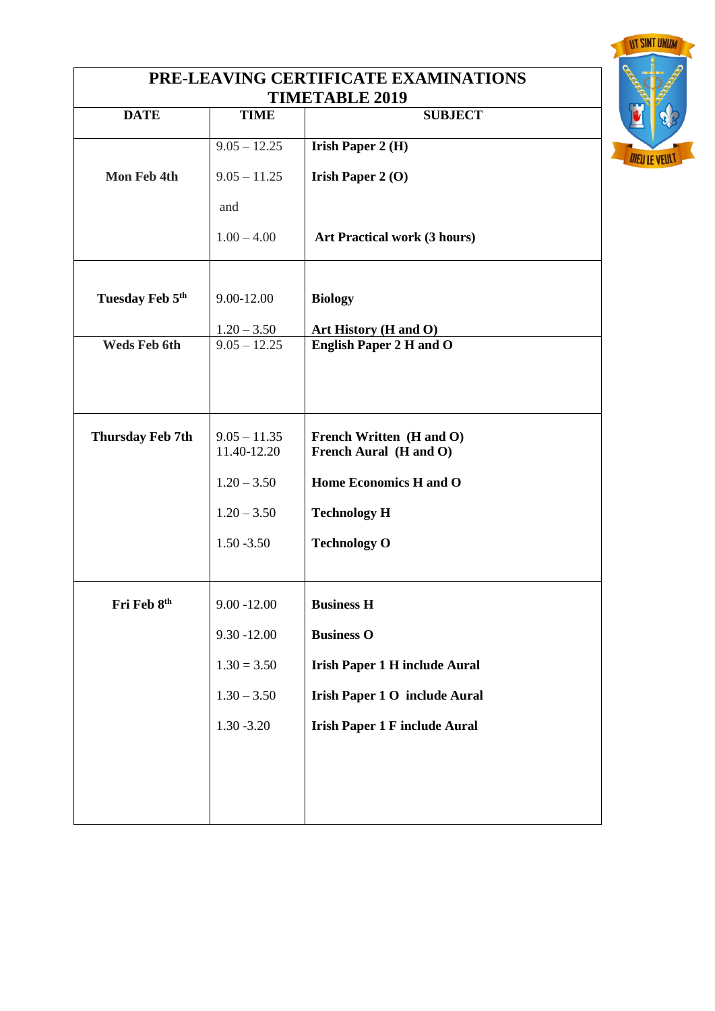| PRE-LEAVING CERTIFICATE EXAMINATIONS |                |                                                    |                      |  |
|--------------------------------------|----------------|----------------------------------------------------|----------------------|--|
| <b>DATE</b>                          | <b>TIME</b>    | <b>TIMETABLE 2019</b><br><b>SUBJECT</b>            |                      |  |
|                                      |                |                                                    |                      |  |
|                                      | $9.05 - 12.25$ | <b>Irish Paper 2 (H)</b>                           | <b>DIEU LE VEULT</b> |  |
| Mon Feb 4th                          | $9.05 - 11.25$ | <b>Irish Paper 2 (O)</b>                           |                      |  |
|                                      | and            |                                                    |                      |  |
|                                      | $1.00 - 4.00$  | <b>Art Practical work (3 hours)</b>                |                      |  |
|                                      |                |                                                    |                      |  |
| Tuesday Feb 5th                      | 9.00-12.00     | <b>Biology</b>                                     |                      |  |
|                                      | $1.20 - 3.50$  | Art History (H and O)                              |                      |  |
| Weds Feb 6th                         | $9.05 - 12.25$ | <b>English Paper 2 H and O</b>                     |                      |  |
|                                      |                |                                                    |                      |  |
|                                      |                |                                                    |                      |  |
|                                      | $9.05 - 11.35$ |                                                    |                      |  |
| <b>Thursday Feb 7th</b>              | 11.40-12.20    | French Written (H and O)<br>French Aural (H and O) |                      |  |
|                                      | $1.20 - 3.50$  | Home Economics H and O                             |                      |  |
|                                      | $1.20 - 3.50$  | <b>Technology H</b>                                |                      |  |
|                                      | $1.50 - 3.50$  | <b>Technology O</b>                                |                      |  |
|                                      |                |                                                    |                      |  |
| Fri Feb 8th                          | $9.00 - 12.00$ | <b>Business H</b>                                  |                      |  |
|                                      | $9.30 - 12.00$ | <b>Business O</b>                                  |                      |  |
|                                      |                |                                                    |                      |  |
|                                      | $1.30 = 3.50$  | <b>Irish Paper 1 H include Aural</b>               |                      |  |
|                                      | $1.30 - 3.50$  | <b>Irish Paper 1 O include Aural</b>               |                      |  |
|                                      | $1.30 - 3.20$  | <b>Irish Paper 1 F include Aural</b>               |                      |  |
|                                      |                |                                                    |                      |  |
|                                      |                |                                                    |                      |  |
|                                      |                |                                                    |                      |  |
|                                      |                |                                                    |                      |  |

**UT SINT UNUM**